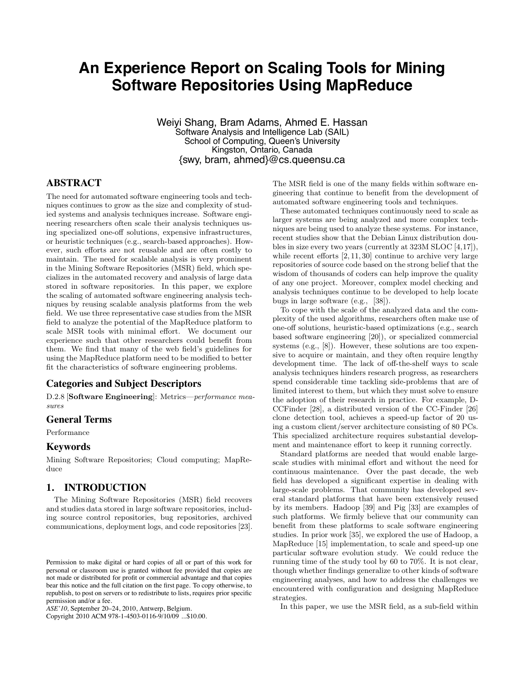# **An Experience Report on Scaling Tools for Mining Software Repositories Using MapReduce**

Weiyi Shang, Bram Adams, Ahmed E. Hassan Software Analysis and Intelligence Lab (SAIL) School of Computing, Queen's University Kingston, Ontario, Canada {swy, bram, ahmed}@cs.queensu.ca

# **ABSTRACT**

The need for automated software engineering tools and techniques continues to grow as the size and complexity of studied systems and analysis techniques increase. Software engineering researchers often scale their analysis techniques using specialized one-off solutions, expensive infrastructures, or heuristic techniques (e.g., search-based approaches). However, such efforts are not reusable and are often costly to maintain. The need for scalable analysis is very prominent in the Mining Software Repositories (MSR) field, which specializes in the automated recovery and analysis of large data stored in software repositories. In this paper, we explore the scaling of automated software engineering analysis techniques by reusing scalable analysis platforms from the web field. We use three representative case studies from the MSR field to analyze the potential of the MapReduce platform to scale MSR tools with minimal effort. We document our experience such that other researchers could benefit from them. We find that many of the web field's guidelines for using the MapReduce platform need to be modified to better fit the characteristics of software engineering problems.

# **Categories and Subject Descriptors**

D.2.8 [**Software Engineering**]: Metrics—*performance measures*

### **General Terms**

Performance

### **Keywords**

Mining Software Repositories; Cloud computing; MapReduce

### **1. INTRODUCTION**

The Mining Software Repositories (MSR) field recovers and studies data stored in large software repositories, including source control repositories, bug repositories, archived communications, deployment logs, and code repositories [23].

Copyright 2010 ACM 978-1-4503-0116-9/10/09 ...\$10.00.

The MSR field is one of the many fields within software engineering that continue to benefit from the development of automated software engineering tools and techniques.

These automated techniques continuously need to scale as larger systems are being analyzed and more complex techniques are being used to analyze these systems. For instance, recent studies show that the Debian Linux distribution doubles in size every two years (currently at 323M SLOC [4,17]), while recent efforts  $[2, 11, 30]$  continue to archive very large repositories of source code based on the strong belief that the wisdom of thousands of coders can help improve the quality of any one project. Moreover, complex model checking and analysis techniques continue to be developed to help locate bugs in large software (e.g., [38]).

To cope with the scale of the analyzed data and the complexity of the used algorithms, researchers often make use of one-off solutions, heuristic-based optimizations (e.g., search based software engineering [20]), or specialized commercial systems (e.g., [8]). However, these solutions are too expensive to acquire or maintain, and they often require lengthy development time. The lack of off-the-shelf ways to scale analysis techniques hinders research progress, as researchers spend considerable time tackling side-problems that are of limited interest to them, but which they must solve to ensure the adoption of their research in practice. For example, D-CCFinder [28], a distributed version of the CC-Finder [26] clone detection tool, achieves a speed-up factor of 20 using a custom client/server architecture consisting of 80 PCs. This specialized architecture requires substantial development and maintenance effort to keep it running correctly.

Standard platforms are needed that would enable largescale studies with minimal effort and without the need for continuous maintenance. Over the past decade, the web field has developed a significant expertise in dealing with large-scale problems. That community has developed several standard platforms that have been extensively reused by its members. Hadoop [39] and Pig [33] are examples of such platforms. We firmly believe that our community can benefit from these platforms to scale software engineering studies. In prior work [35], we explored the use of Hadoop, a MapReduce [15] implementation, to scale and speed-up one particular software evolution study. We could reduce the running time of the study tool by 60 to 70%. It is not clear, though whether findings generalize to other kinds of software engineering analyses, and how to address the challenges we encountered with configuration and designing MapReduce strategies.

In this paper, we use the MSR field, as a sub-field within

Permission to make digital or hard copies of all or part of this work for personal or classroom use is granted without fee provided that copies are not made or distributed for profit or commercial advantage and that copies bear this notice and the full citation on the first page. To copy otherwise, to republish, to post on servers or to redistribute to lists, requires prior specific permission and/or a fee.

*ASE'10,* September 20–24, 2010, Antwerp, Belgium.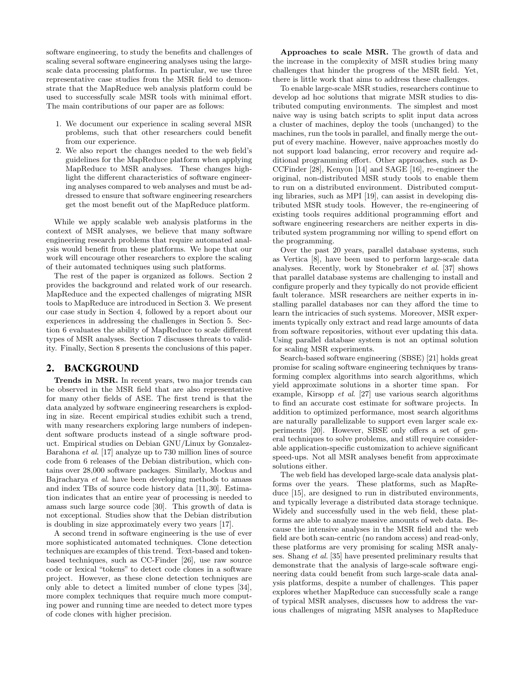software engineering, to study the benefits and challenges of scaling several software engineering analyses using the largescale data processing platforms. In particular, we use three representative case studies from the MSR field to demonstrate that the MapReduce web analysis platform could be used to successfully scale MSR tools with minimal effort. The main contributions of our paper are as follows:

- 1. We document our experience in scaling several MSR problems, such that other researchers could benefit from our experience.
- 2. We also report the changes needed to the web field's guidelines for the MapReduce platform when applying MapReduce to MSR analyses. These changes highlight the different characteristics of software engineering analyses compared to web analyses and must be addressed to ensure that software engineering researchers get the most benefit out of the MapReduce platform.

While we apply scalable web analysis platforms in the context of MSR analyses, we believe that many software engineering research problems that require automated analysis would benefit from these platforms. We hope that our work will encourage other researchers to explore the scaling of their automated techniques using such platforms.

The rest of the paper is organized as follows. Section 2 provides the background and related work of our research. MapReduce and the expected challenges of migrating MSR tools to MapReduce are introduced in Section 3. We present our case study in Section 4, followed by a report about our experiences in addressing the challenges in Section 5. Section 6 evaluates the ability of MapReduce to scale different types of MSR analyses. Section 7 discusses threats to validity. Finally, Section 8 presents the conclusions of this paper.

# **2. BACKGROUND**

**Trends in MSR.** In recent years, two major trends can be observed in the MSR field that are also representative for many other fields of ASE. The first trend is that the data analyzed by software engineering researchers is exploding in size. Recent empirical studies exhibit such a trend, with many researchers exploring large numbers of independent software products instead of a single software product. Empirical studies on Debian GNU/Linux by Gonzalez-Barahona *et al.* [17] analyze up to 730 million lines of source code from 6 releases of the Debian distribution, which contains over 28,000 software packages. Similarly, Mockus and Bajracharya *et al.* have been developing methods to amass and index TBs of source code history data [11, 30]. Estimation indicates that an entire year of processing is needed to amass such large source code [30]. This growth of data is not exceptional. Studies show that the Debian distribution is doubling in size approximately every two years [17].

A second trend in software engineering is the use of ever more sophisticated automated techniques. Clone detection techniques are examples of this trend. Text-based and tokenbased techniques, such as CC-Finder [26], use raw source code or lexical "tokens" to detect code clones in a software project. However, as these clone detection techniques are only able to detect a limited number of clone types [34], more complex techniques that require much more computing power and running time are needed to detect more types of code clones with higher precision.

**Approaches to scale MSR.** The growth of data and the increase in the complexity of MSR studies bring many challenges that hinder the progress of the MSR field. Yet, there is little work that aims to address these challenges.

To enable large-scale MSR studies, researchers continue to develop ad hoc solutions that migrate MSR studies to distributed computing environments. The simplest and most naive way is using batch scripts to split input data across a cluster of machines, deploy the tools (unchanged) to the machines, run the tools in parallel, and finally merge the output of every machine. However, naive approaches mostly do not support load balancing, error recovery and require additional programming effort. Other approaches, such as D-CCFinder [28], Kenyon [14] and SAGE [16], re-engineer the original, non-distributed MSR study tools to enable them to run on a distributed environment. Distributed computing libraries, such as MPI [19], can assist in developing distributed MSR study tools. However, the re-engineering of existing tools requires additional programming effort and software engineering researchers are neither experts in distributed system programming nor willing to spend effort on the programming.

Over the past 20 years, parallel database systems, such as Vertica [8], have been used to perform large-scale data analyses. Recently, work by Stonebraker *et al.* [37] shows that parallel database systems are challenging to install and configure properly and they typically do not provide efficient fault tolerance. MSR researchers are neither experts in installing parallel databases nor can they afford the time to learn the intricacies of such systems. Moreover, MSR experiments typically only extract and read large amounts of data from software repositories, without ever updating this data. Using parallel database system is not an optimal solution for scaling MSR experiments.

Search-based software engineering (SBSE) [21] holds great promise for scaling software engineering techniques by transforming complex algorithms into search algorithms, which yield approximate solutions in a shorter time span. For example, Kirsopp *et al.* [27] use various search algorithms to find an accurate cost estimate for software projects. In addition to optimized performance, most search algorithms are naturally parallelizable to support even larger scale experiments [20]. However, SBSE only offers a set of general techniques to solve problems, and still require considerable application-specific customization to achieve significant speed-ups. Not all MSR analyses benefit from approximate solutions either.

The web field has developed large-scale data analysis platforms over the years. These platforms, such as MapReduce [15], are designed to run in distributed environments, and typically leverage a distributed data storage technique. Widely and successfully used in the web field, these platforms are able to analyze massive amounts of web data. Because the intensive analyses in the MSR field and the web field are both scan-centric (no random access) and read-only, these platforms are very promising for scaling MSR analyses. Shang *et al.* [35] have presented preliminary results that demonstrate that the analysis of large-scale software engineering data could benefit from such large-scale data analysis platforms, despite a number of challenges. This paper explores whether MapReduce can successfully scale a range of typical MSR analyses, discusses how to address the various challenges of migrating MSR analyses to MapReduce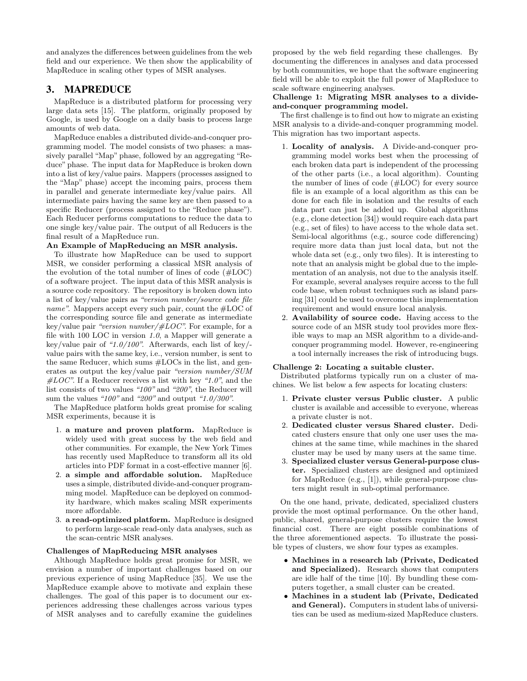and analyzes the differences between guidelines from the web field and our experience. We then show the applicability of MapReduce in scaling other types of MSR analyses.

# **3. MAPREDUCE**

MapReduce is a distributed platform for processing very large data sets [15]. The platform, originally proposed by Google, is used by Google on a daily basis to process large amounts of web data.

MapReduce enables a distributed divide-and-conquer programming model. The model consists of two phases: a massively parallel "Map" phase, followed by an aggregating "Reduce" phase. The input data for MapReduce is broken down into a list of key/value pairs. Mappers (processes assigned to the "Map" phase) accept the incoming pairs, process them in parallel and generate intermediate key/value pairs. All intermediate pairs having the same key are then passed to a specific Reducer (process assigned to the "Reduce phase"). Each Reducer performs computations to reduce the data to one single key/value pair. The output of all Reducers is the final result of a MapReduce run.

### **An Example of MapReducing an MSR analysis.**

To illustrate how MapReduce can be used to support MSR, we consider performing a classical MSR analysis of the evolution of the total number of lines of code (#LOC) of a software project. The input data of this MSR analysis is a source code repository. The repository is broken down into a list of key/value pairs as *"version number/source code file name"*. Mappers accept every such pair, count the #LOC of the corresponding source file and generate as intermediate key/value pair *"version number/#LOC"*. For example, for a file with 100 LOC in version *1.0*, a Mapper will generate a key/value pair of *"1.0/100"*. Afterwards, each list of key/ value pairs with the same key, i.e., version number, is sent to the same Reducer, which sums #LOCs in the list, and generates as output the key/value pair *"version number/SUM #LOC"*. If a Reducer receives a list with key *"1.0"*, and the list consists of two values *"100"* and *"200"*, the Reducer will sum the values *"100"* and *"200"* and output *"1.0/300"*.

The MapReduce platform holds great promise for scaling MSR experiments, because it is

- 1. **a mature and proven platform.** MapReduce is widely used with great success by the web field and other communities. For example, the New York Times has recently used MapReduce to transform all its old articles into PDF format in a cost-effective manner [6].
- 2. **a simple and affordable solution.** MapReduce uses a simple, distributed divide-and-conquer programming model. MapReduce can be deployed on commodity hardware, which makes scaling MSR experiments more affordable.
- 3. **a read-optimized platform.** MapReduce is designed to perform large-scale read-only data analyses, such as the scan-centric MSR analyses.

### **Challenges of MapReducing MSR analyses**

Although MapReduce holds great promise for MSR, we envision a number of important challenges based on our previous experience of using MapReduce [35]. We use the MapReduce example above to motivate and explain these challenges. The goal of this paper is to document our experiences addressing these challenges across various types of MSR analyses and to carefully examine the guidelines

proposed by the web field regarding these challenges. By documenting the differences in analyses and data processed by both communities, we hope that the software engineering field will be able to exploit the full power of MapReduce to scale software engineering analyses.

### **Challenge 1: Migrating MSR analyses to a divideand-conquer programming model.**

The first challenge is to find out how to migrate an existing MSR analysis to a divide-and-conquer programming model. This migration has two important aspects.

- 1. **Locality of analysis.** A Divide-and-conquer programming model works best when the processing of each broken data part is independent of the processing of the other parts (i.e., a local algorithm). Counting the number of lines of code (#LOC) for every source file is an example of a local algorithm as this can be done for each file in isolation and the results of each data part can just be added up. Global algorithms (e.g., clone detection [34]) would require each data part (e.g., set of files) to have access to the whole data set. Semi-local algorithms (e.g., source code differencing) require more data than just local data, but not the whole data set (e.g., only two files). It is interesting to note that an analysis might be global due to the implementation of an analysis, not due to the analysis itself. For example, several analyses require access to the full code base, when robust techniques such as island parsing [31] could be used to overcome this implementation requirement and would ensure local analysis.
- 2. **Availability of source code.** Having access to the source code of an MSR study tool provides more flexible ways to map an MSR algorithm to a divide-andconquer programming model. However, re-engineering a tool internally increases the risk of introducing bugs.

### **Challenge 2: Locating a suitable cluster.**

Distributed platforms typically run on a cluster of machines. We list below a few aspects for locating clusters:

- 1. **Private cluster versus Public cluster.** A public cluster is available and accessible to everyone, whereas a private cluster is not.
- 2. **Dedicated cluster versus Shared cluster.** Dedicated clusters ensure that only one user uses the machines at the same time, while machines in the shared cluster may be used by many users at the same time.
- 3. **Specialized cluster versus General-purpose cluster.** Specialized clusters are designed and optimized for MapReduce (e.g., [1]), while general-purpose clusters might result in sub-optimal performance.

On the one hand, private, dedicated, specialized clusters provide the most optimal performance. On the other hand, public, shared, general-purpose clusters require the lowest financial cost. There are eight possible combinations of the three aforementioned aspects. To illustrate the possible types of clusters, we show four types as examples.

- *•* **Machines in a research lab (Private, Dedicated and Specialized).** Research shows that computers are idle half of the time [10]. By bundling these computers together, a small cluster can be created.
- *•* **Machines in a student lab (Private, Dedicated and General).** Computers in student labs of universities can be used as medium-sized MapReduce clusters.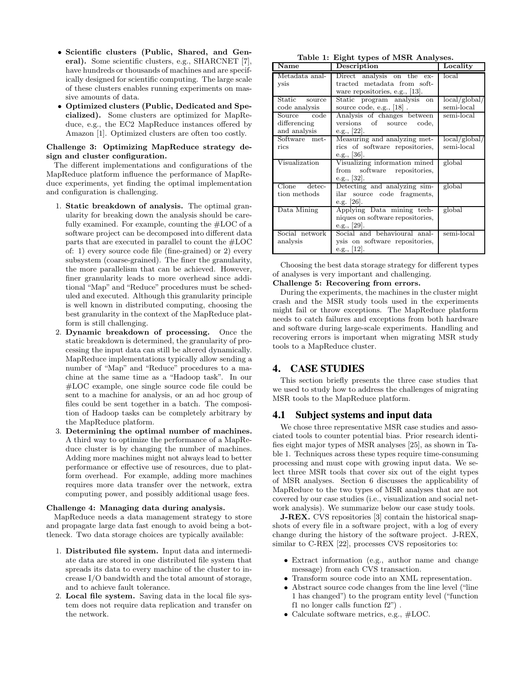- *•* **Scientific clusters (Public, Shared, and General).** Some scientific clusters, e.g., SHARCNET [7], have hundreds or thousands of machines and are specifically designed for scientific computing. The large scale of these clusters enables running experiments on massive amounts of data.
- *•* **Optimized clusters (Public, Dedicated and Specialized).** Some clusters are optimized for MapReduce, e.g., the EC2 MapReduce instances offered by Amazon [1]. Optimized clusters are often too costly.

### **Challenge 3: Optimizing MapReduce strategy design and cluster configuration.**

The different implementations and configurations of the MapReduce platform influence the performance of MapReduce experiments, yet finding the optimal implementation and configuration is challenging.

- 1. **Static breakdown of analysis.** The optimal granularity for breaking down the analysis should be carefully examined. For example, counting the #LOC of a software project can be decomposed into different data parts that are executed in parallel to count the #LOC of: 1) every source code file (fine-grained) or 2) every subsystem (coarse-grained). The finer the granularity, the more parallelism that can be achieved. However, finer granularity leads to more overhead since additional "Map" and "Reduce" procedures must be scheduled and executed. Although this granularity principle is well known in distributed computing, choosing the best granularity in the context of the MapReduce platform is still challenging.
- 2. **Dynamic breakdown of processing.** Once the static breakdown is determined, the granularity of processing the input data can still be altered dynamically. MapReduce implementations typically allow sending a number of "Map" and "Reduce" procedures to a machine at the same time as a "Hadoop task". In our #LOC example, one single source code file could be sent to a machine for analysis, or an ad hoc group of files could be sent together in a batch. The composition of Hadoop tasks can be completely arbitrary by the MapReduce platform.
- 3. **Determining the optimal number of machines.** A third way to optimize the performance of a MapReduce cluster is by changing the number of machines. Adding more machines might not always lead to better performance or effective use of resources, due to platform overhead. For example, adding more machines requires more data transfer over the network, extra computing power, and possibly additional usage fees.

#### **Challenge 4: Managing data during analysis.**

MapReduce needs a data management strategy to store and propagate large data fast enough to avoid being a bottleneck. Two data storage choices are typically available:

- 1. **Distributed file system.** Input data and intermediate data are stored in one distributed file system that spreads its data to every machine of the cluster to increase I/O bandwidth and the total amount of storage, and to achieve fault tolerance.
- 2. **Local file system.** Saving data in the local file system does not require data replication and transfer on the network.

**Table 1: Eight types of MSR Analyses.**

| Name             | Description                       | Locality                                                                                                                                                                                                                                                                                                                                                                                                                                                                                                                        |
|------------------|-----------------------------------|---------------------------------------------------------------------------------------------------------------------------------------------------------------------------------------------------------------------------------------------------------------------------------------------------------------------------------------------------------------------------------------------------------------------------------------------------------------------------------------------------------------------------------|
| Metadata anal-   | Direct analysis on the ex-        | $_{\rm local}$                                                                                                                                                                                                                                                                                                                                                                                                                                                                                                                  |
| ysis             | tracted metadata from soft-       |                                                                                                                                                                                                                                                                                                                                                                                                                                                                                                                                 |
|                  | ware repositories, e.g., $ 13 $ . |                                                                                                                                                                                                                                                                                                                                                                                                                                                                                                                                 |
| Static<br>source | Static program analysis on        | $\rm local/global/$                                                                                                                                                                                                                                                                                                                                                                                                                                                                                                             |
| code analysis    | source code, e.g., $[18]$ .       | semi-local                                                                                                                                                                                                                                                                                                                                                                                                                                                                                                                      |
| code<br>Source   | Analysis of changes between       | semi-local                                                                                                                                                                                                                                                                                                                                                                                                                                                                                                                      |
| differencing     | versions of source<br>code,       |                                                                                                                                                                                                                                                                                                                                                                                                                                                                                                                                 |
| and analysis     | e.g., $[22]$ .                    |                                                                                                                                                                                                                                                                                                                                                                                                                                                                                                                                 |
| Software met-    | Measuring and analyzing met-      | $\mathrm{local/global}/\mathrm{global}/\mathrm{global}/\mathrm{global}/\mathrm{global}/\mathrm{global}/\mathrm{global}/\mathrm{global}/\mathrm{global}/\mathrm{global}/\mathrm{global}/\mathrm{global}/\mathrm{global}/\mathrm{global}/\mathrm{global}/\mathrm{global}/\mathrm{global}/\mathrm{global}/\mathrm{global}/\mathrm{global}/\mathrm{global}/\mathrm{global}/\mathrm{global}/\mathrm{global}/\mathrm{global}/\mathrm{global}/\mathrm{global}/\mathrm{global}/\mathrm{global}/\mathrm{global}/\mathrm{global}/\mathrm$ |
| rics             | rics of software repositories,    | semi-local                                                                                                                                                                                                                                                                                                                                                                                                                                                                                                                      |
|                  | e.g., $ 36 $ .                    |                                                                                                                                                                                                                                                                                                                                                                                                                                                                                                                                 |
| Visualization    | Visualizing information mined     | global                                                                                                                                                                                                                                                                                                                                                                                                                                                                                                                          |
|                  | software repositories,<br>from    |                                                                                                                                                                                                                                                                                                                                                                                                                                                                                                                                 |
|                  | e.g., $ 32 $ .                    |                                                                                                                                                                                                                                                                                                                                                                                                                                                                                                                                 |
| Clone<br>detec-  | Detecting and analyzing sim-      | global                                                                                                                                                                                                                                                                                                                                                                                                                                                                                                                          |
| tion methods     | ilar source code fragments,       |                                                                                                                                                                                                                                                                                                                                                                                                                                                                                                                                 |
|                  | e.g. $ 26 $ .                     |                                                                                                                                                                                                                                                                                                                                                                                                                                                                                                                                 |
| Data Mining      | Applying Data mining tech-        | global                                                                                                                                                                                                                                                                                                                                                                                                                                                                                                                          |
|                  | niques on software repositories,  |                                                                                                                                                                                                                                                                                                                                                                                                                                                                                                                                 |
|                  | e.g., [29].                       |                                                                                                                                                                                                                                                                                                                                                                                                                                                                                                                                 |
| Social network   | Social and behavioural anal-      | semi-local                                                                                                                                                                                                                                                                                                                                                                                                                                                                                                                      |
| analysis         | ysis on software repositories,    |                                                                                                                                                                                                                                                                                                                                                                                                                                                                                                                                 |
|                  | e.g., [12].                       |                                                                                                                                                                                                                                                                                                                                                                                                                                                                                                                                 |

Choosing the best data storage strategy for different types of analyses is very important and challenging.

### **Challenge 5: Recovering from errors.**

During the experiments, the machines in the cluster might crash and the MSR study tools used in the experiments might fail or throw exceptions. The MapReduce platform needs to catch failures and exceptions from both hardware and software during large-scale experiments. Handling and recovering errors is important when migrating MSR study tools to a MapReduce cluster.

# **4. CASE STUDIES**

This section briefly presents the three case studies that we used to study how to address the challenges of migrating MSR tools to the MapReduce platform.

# **4.1 Subject systems and input data**

We chose three representative MSR case studies and associated tools to counter potential bias. Prior research identifies eight major types of MSR analyses [25], as shown in Table 1. Techniques across these types require time-consuming processing and must cope with growing input data. We select three MSR tools that cover six out of the eight types of MSR analyses. Section 6 discusses the applicability of MapReduce to the two types of MSR analyses that are not covered by our case studies (i.e., visualization and social network analysis). We summarize below our case study tools.

**J-REX.** CVS repositories [3] contain the historical snapshots of every file in a software project, with a log of every change during the history of the software project. J-REX, similar to C-REX [22], processes CVS repositories to:

- *•* Extract information (e.g., author name and change message) from each CVS transaction.
- *•* Transform source code into an XML representation.
- Abstract source code changes from the line level ("line" 1 has changed") to the program entity level ("function f1 no longer calls function f2") .
- Calculate software metrics, e.g.,  $\#LOC$ .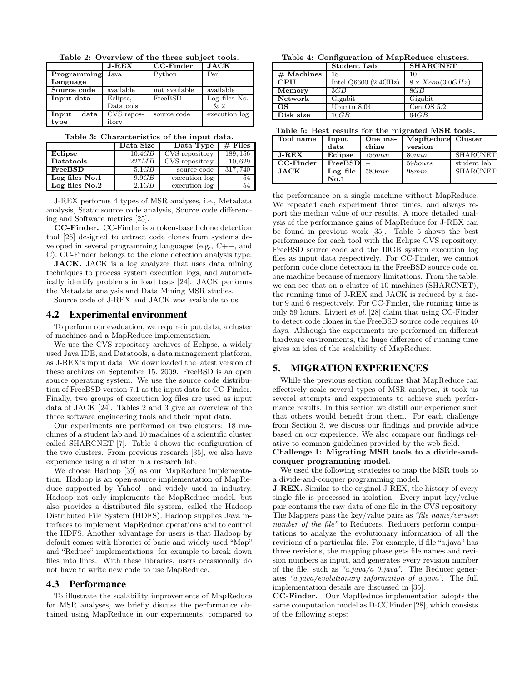**Table 2: Overview of the three subject tools.**

|               | $J-REX$    | $CC$ -Finder  | <b>JACK</b>   |
|---------------|------------|---------------|---------------|
| Programming   | Java       | Python        | Perl          |
| Language      |            |               |               |
| Source code   | available  | not available | available     |
| Input data    | Eclipse,   | FreeBSD       | Log files No. |
|               | Datatools  |               | 1 & 2         |
| Input<br>data | CVS repos- | source code   | execution log |
| type          | itory      |               |               |

**Table 3: Characteristics of the input data.**

|                  | Data Size | Data Type      | $#$ Files |
|------------------|-----------|----------------|-----------|
| Eclipse          | 10.4GB    | CVS repository | 189, 156  |
| Datatools        | 227MB     | CVS repository | 10,629    |
| FreeBSD          | 5.1GB     | source code    | 317, 740  |
| Log files $No.1$ | 9.9GB     | execution log  | 54        |
| Log files No.2   | 2.1GB     | execution log  | 54        |

J-REX performs 4 types of MSR analyses, i.e., Metadata analysis, Static source code analysis, Source code differencing and Software metrics [25].

**CC-Finder.** CC-Finder is a token-based clone detection tool [26] designed to extract code clones from systems developed in several programming languages (e.g., C++, and C). CC-Finder belongs to the clone detection analysis type.

**JACK.** JACK is a log analyzer that uses data mining techniques to process system execution logs, and automatically identify problems in load tests [24]. JACK performs the Metadata analysis and Data Mining MSR studies.

Source code of J-REX and JACK was available to us.

### **4.2 Experimental environment**

To perform our evaluation, we require input data, a cluster of machines and a MapReduce implementation.

We use the CVS repository archives of Eclipse, a widely used Java IDE, and Datatools, a data management platform, as J-REX's input data. We downloaded the latest version of these archives on September 15, 2009. FreeBSD is an open source operating system. We use the source code distribution of FreeBSD version 7.1 as the input data for CC-Finder. Finally, two groups of execution log files are used as input data of JACK [24]. Tables 2 and 3 give an overview of the three software engineering tools and their input data.

Our experiments are performed on two clusters: 18 machines of a student lab and 10 machines of a scientific cluster called SHARCNET [7]. Table 4 shows the configuration of the two clusters. From previous research [35], we also have experience using a cluster in a research lab.

We choose Hadoop [39] as our MapReduce implementation. Hadoop is an open-source implementation of MapReduce supported by Yahoo! and widely used in industry. Hadoop not only implements the MapReduce model, but also provides a distributed file system, called the Hadoop Distributed File System (HDFS). Hadoop supplies Java interfaces to implement MapReduce operations and to control the HDFS. Another advantage for users is that Hadoop by default comes with libraries of basic and widely used "Map" and "Reduce" implementations, for example to break down files into lines. With these libraries, users occasionally do not have to write new code to use MapReduce.

### **4.3 Performance**

To illustrate the scalability improvements of MapReduce for MSR analyses, we briefly discuss the performance obtained using MapReduce in our experiments, compared to

**Table 4: Configuration of MapReduce clusters.**

|                | Student Lab                    | <b>SHARCNET</b>         |
|----------------|--------------------------------|-------------------------|
| $#$ Machines   | 18                             | 10                      |
| <b>CPU</b>     | Intel $Q6600 (2.4 \text{GHz})$ | $8 \times Xeon(3.0GHz)$ |
| Memory         | 3GB                            | 8GB                     |
| <b>Network</b> | Gigabit                        | Gigabit                 |
| OS.            | Ubuntu 8.04                    | CentOS 5.2              |
| Disk size      | $\overline{10}GB$              | 64 <i>GB</i>            |

**Table 5: Best results for the migrated MSR tools.**

| Tool name    | Input    | One ma- | MapReduce Cluster |                 |
|--------------|----------|---------|-------------------|-----------------|
|              | data     | chine   | version           |                 |
| $J-REX$      | Eclipse  | 755min  | 80min             | SHARCNET        |
| $CC$ -Finder | FreeBSD  |         | 59 hours          | student lab     |
| <b>JACK</b>  | Log file | 580min  | 98min             | <b>SHARCNET</b> |
|              | No.1     |         |                   |                 |

the performance on a single machine without MapReduce. We repeated each experiment three times, and always report the median value of our results. A more detailed analysis of the performance gains of MapReduce for J-REX can be found in previous work [35]. Table 5 shows the best performance for each tool with the Eclipse CVS repository, FreeBSD source code and the 10GB system execution log files as input data respectively. For CC-Finder, we cannot perform code clone detection in the FreeBSD source code on one machine because of memory limitations. From the table, we can see that on a cluster of 10 machines (SHARCNET), the running time of J-REX and JACK is reduced by a factor 9 and 6 respectively. For CC-Finder, the running time is only 59 hours. Livieri *et al.* [28] claim that using CC-Finder to detect code clones in the FreeBSD source code requires 40 days. Although the experiments are performed on different hardware environments, the huge difference of running time gives an idea of the scalability of MapReduce.

# **5. MIGRATION EXPERIENCES**

While the previous section confirms that MapReduce can effectively scale several types of MSR analyses, it took us several attempts and experiments to achieve such performance results. In this section we distill our experience such that others would benefit from them. For each challenge from Section 3, we discuss our findings and provide advice based on our experience. We also compare our findings relative to common guidelines provided by the web field.

#### **Challenge 1: Migrating MSR tools to a divide-andconquer programming model.**

We used the following strategies to map the MSR tools to a divide-and-conquer programming model.

**J-REX.** Similar to the original J-REX, the history of every single file is processed in isolation. Every input key/value pair contains the raw data of one file in the CVS repository. The Mappers pass the key/value pairs as *"file name/version number of the file"* to Reducers. Reducers perform computations to analyze the evolutionary information of all the revisions of a particular file. For example, if file "a.java" has three revisions, the mapping phase gets file names and revision numbers as input, and generates every revision number of the file, such as *"a.java/a 0.java"*. The Reducer generates *"a.java/evolutionary information of a.java"*. The full implementation details are discussed in [35].

**CC-Finder.** Our MapReduce implementation adopts the same computation model as D-CCFinder [28], which consists of the following steps: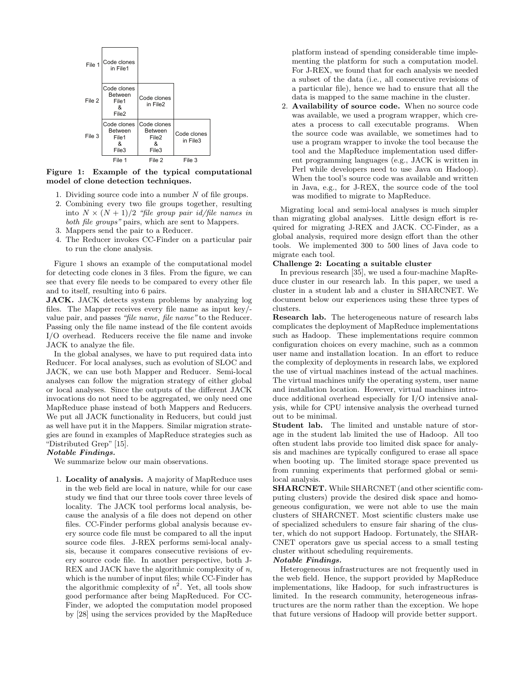

**Figure 1: Example of the typical computational model of clone detection techniques.**

- 1. Dividing source code into a number *N* of file groups.
- 2. Combining every two file groups together, resulting into  $N \times (N + 1)/2$  *"file group pair id/file names in both file groups"* pairs, which are sent to Mappers.
- 3. Mappers send the pair to a Reducer.
- 4. The Reducer invokes CC-Finder on a particular pair to run the clone analysis.

Figure 1 shows an example of the computational model for detecting code clones in 3 files. From the figure, we can see that every file needs to be compared to every other file and to itself, resulting into 6 pairs.

**JACK.** JACK detects system problems by analyzing log files. The Mapper receives every file name as input key/ value pair, and passes *"file name, file name"* to the Reducer. Passing only the file name instead of the file content avoids I/O overhead. Reducers receive the file name and invoke JACK to analyze the file.

In the global analyses, we have to put required data into Reducer. For local analyses, such as evolution of SLOC and JACK, we can use both Mapper and Reducer. Semi-local analyses can follow the migration strategy of either global or local analyses. Since the outputs of the different JACK invocations do not need to be aggregated, we only need one MapReduce phase instead of both Mappers and Reducers. We put all JACK functionality in Reducers, but could just as well have put it in the Mappers. Similar migration strategies are found in examples of MapReduce strategies such as "Distributed Grep" [15].

#### *Notable Findings.*

We summarize below our main observations.

1. **Locality of analysis.** A majority of MapReduce uses in the web field are local in nature, while for our case study we find that our three tools cover three levels of locality. The JACK tool performs local analysis, because the analysis of a file does not depend on other files. CC-Finder performs global analysis because every source code file must be compared to all the input source code files. J-REX performs semi-local analysis, because it compares consecutive revisions of every source code file. In another perspective, both J-REX and JACK have the algorithmic complexity of *n*, which is the number of input files; while CC-Finder has the algorithmic complexity of  $n^2$ . Yet, all tools show good performance after being MapReduced. For CC-Finder, we adopted the computation model proposed by [28] using the services provided by the MapReduce

platform instead of spending considerable time implementing the platform for such a computation model. For J-REX, we found that for each analysis we needed a subset of the data (i.e., all consecutive revisions of a particular file), hence we had to ensure that all the data is mapped to the same machine in the cluster.

2. **Availability of source code.** When no source code was available, we used a program wrapper, which creates a process to call executable programs. When the source code was available, we sometimes had to use a program wrapper to invoke the tool because the tool and the MapReduce implementation used different programming languages (e.g., JACK is written in Perl while developers need to use Java on Hadoop). When the tool's source code was available and written in Java, e.g., for J-REX, the source code of the tool was modified to migrate to MapReduce.

Migrating local and semi-local analyses is much simpler than migrating global analyses. Little design effort is required for migrating J-REX and JACK. CC-Finder, as a global analysis, required more design effort than the other tools. We implemented 300 to 500 lines of Java code to migrate each tool.

### **Challenge 2: Locating a suitable cluster**

In previous research [35], we used a four-machine MapReduce cluster in our research lab. In this paper, we used a cluster in a student lab and a cluster in SHARCNET. We document below our experiences using these three types of clusters.

**Research lab.** The heterogeneous nature of research labs complicates the deployment of MapReduce implementations such as Hadoop. These implementations require common configuration choices on every machine, such as a common user name and installation location. In an effort to reduce the complexity of deployments in research labs, we explored the use of virtual machines instead of the actual machines. The virtual machines unify the operating system, user name and installation location. However, virtual machines introduce additional overhead especially for I/O intensive analysis, while for CPU intensive analysis the overhead turned out to be minimal.

**Student lab.** The limited and unstable nature of storage in the student lab limited the use of Hadoop. All too often student labs provide too limited disk space for analysis and machines are typically configured to erase all space when booting up. The limited storage space prevented us from running experiments that performed global or semilocal analysis.

**SHARCNET.** While SHARCNET (and other scientific computing clusters) provide the desired disk space and homogeneous configuration, we were not able to use the main clusters of SHARCNET. Most scientific clusters make use of specialized schedulers to ensure fair sharing of the cluster, which do not support Hadoop. Fortunately, the SHAR-CNET operators gave us special access to a small testing cluster without scheduling requirements.

### *Notable Findings.*

Heterogeneous infrastructures are not frequently used in the web field. Hence, the support provided by MapReduce implementations, like Hadoop, for such infrastructures is limited. In the research community, heterogeneous infrastructures are the norm rather than the exception. We hope that future versions of Hadoop will provide better support.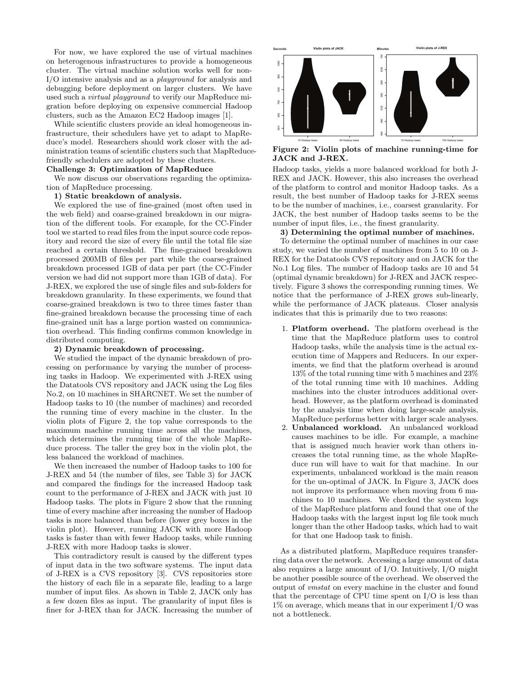For now, we have explored the use of virtual machines on heterogenous infrastructures to provide a homogeneous cluster. The virtual machine solution works well for non-I/O intensive analysis and as a *playground* for analysis and debugging before deployment on larger clusters. We have used such a *virtual playground* to verify our MapReduce migration before deploying on expensive commercial Hadoop clusters, such as the Amazon EC2 Hadoop images [1].

While scientific clusters provide an ideal homogeneous infrastructure, their schedulers have yet to adapt to MapReduce's model. Researchers should work closer with the administration teams of scientific clusters such that MapReducefriendly schedulers are adopted by these clusters.

# **Challenge 3: Optimization of MapReduce**

We now discuss our observations regarding the optimization of MapReduce processing.

### **1) Static breakdown of analysis.**

We explored the use of fine-grained (most often used in the web field) and coarse-grained breakdown in our migration of the different tools. For example, for the CC-Finder tool we started to read files from the input source code repository and record the size of every file until the total file size reached a certain threshold. The fine-grained breakdown processed 200MB of files per part while the coarse-grained breakdown processed 1GB of data per part (the CC-Finder version we had did not support more than 1GB of data). For J-REX, we explored the use of single files and sub-folders for breakdown granularity. In these experiments, we found that coarse-grained breakdown is two to three times faster than fine-grained breakdown because the processing time of each fine-grained unit has a large portion wasted on communication overhead. This finding confirms common knowledge in distributed computing.

#### **2) Dynamic breakdown of processing.**

We studied the impact of the dynamic breakdown of processing on performance by varying the number of processing tasks in Hadoop. We experimented with J-REX using the Datatools CVS repository and JACK using the Log files No.2, on 10 machines in SHARCNET. We set the number of Hadoop tasks to 10 (the number of machines) and recorded the running time of every machine in the cluster. In the violin plots of Figure 2, the top value corresponds to the maximum machine running time across all the machines, which determines the running time of the whole MapReduce process. The taller the grey box in the violin plot, the less balanced the workload of machines.

We then increased the number of Hadoop tasks to 100 for J-REX and 54 (the number of files, see Table 3) for JACK and compared the findings for the increased Hadoop task count to the performance of J-REX and JACK with just 10 Hadoop tasks. The plots in Figure 2 show that the running time of every machine after increasing the number of Hadoop tasks is more balanced than before (lower grey boxes in the violin plot). However, running JACK with more Hadoop tasks is faster than with fewer Hadoop tasks, while running J-REX with more Hadoop tasks is slower.

This contradictory result is caused by the different types of input data in the two software systems. The input data of J-REX is a CVS repository [3]. CVS repositories store the history of each file in a separate file, leading to a large number of input files. As shown in Table 2, JACK only has a few dozen files as input. The granularity of input files is finer for J-REX than for JACK. Increasing the number of



**Figure 2: Violin plots of machine running-time for JACK and J-REX.**

Hadoop tasks, yields a more balanced workload for both J-REX and JACK. However, this also increases the overhead of the platform to control and monitor Hadoop tasks. As a result, the best number of Hadoop tasks for J-REX seems to be the number of machines, i.e., coarsest granularity. For JACK, the best number of Hadoop tasks seems to be the number of input files, i.e., the finest granularity.

#### **3) Determining the optimal number of machines.**

To determine the optimal number of machines in our case study, we varied the number of machines from 5 to 10 on J-REX for the Datatools CVS repository and on JACK for the No.1 Log files. The number of Hadoop tasks are 10 and 54 (optimal dynamic breakdown) for J-REX and JACK respectively. Figure 3 shows the corresponding running times. We notice that the performance of J-REX grows sub-linearly, while the performance of JACK plateaus. Closer analysis indicates that this is primarily due to two reasons:

- 1. **Platform overhead.** The platform overhead is the time that the MapReduce platform uses to control Hadoop tasks, while the analysis time is the actual execution time of Mappers and Reducers. In our experiments, we find that the platform overhead is around 13% of the total running time with 5 machines and 23% of the total running time with 10 machines. Adding machines into the cluster introduces additional overhead. However, as the platform overhead is dominated by the analysis time when doing large-scale analysis, MapReduce performs better with larger scale analyses.
- 2. **Unbalanced workload.** An unbalanced workload causes machines to be idle. For example, a machine that is assigned much heavier work than others increases the total running time, as the whole MapReduce run will have to wait for that machine. In our experiments, unbalanced workload is the main reason for the un-optimal of JACK. In Figure 3, JACK does not improve its performance when moving from 6 machines to 10 machines. We checked the system logs of the MapReduce platform and found that one of the Hadoop tasks with the largest input log file took much longer than the other Hadoop tasks, which had to wait for that one Hadoop task to finish.

As a distributed platform, MapReduce requires transferring data over the network. Accessing a large amount of data also requires a large amount of I/O. Intuitively, I/O might be another possible source of the overhead. We observed the output of *vmstat* on every machine in the cluster and found that the percentage of CPU time spent on I/O is less than 1% on average, which means that in our experiment I/O was not a bottleneck.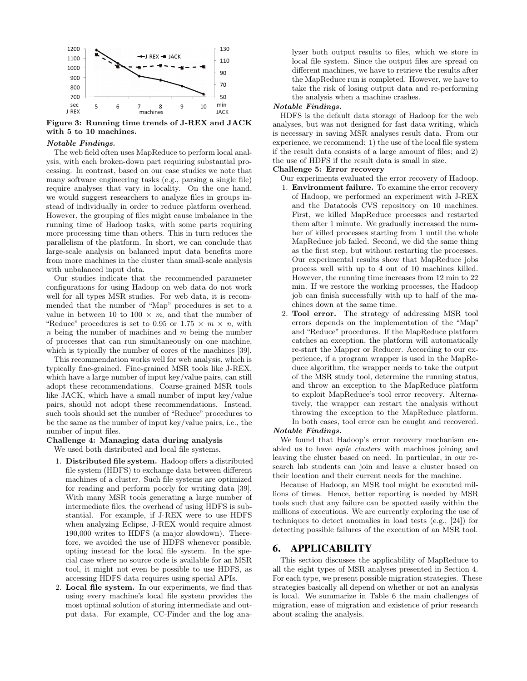

**Figure 3: Running time trends of J-REX and JACK with 5 to 10 machines.**

### *Notable Findings.*

The web field often uses MapReduce to perform local analysis, with each broken-down part requiring substantial processing. In contrast, based on our case studies we note that many software engineering tasks (e.g., parsing a single file) require analyses that vary in locality. On the one hand, we would suggest researchers to analyze files in groups instead of individually in order to reduce platform overhead. However, the grouping of files might cause imbalance in the running time of Hadoop tasks, with some parts requiring more processing time than others. This in turn reduces the parallelism of the platform. In short, we can conclude that large-scale analysis on balanced input data benefits more from more machines in the cluster than small-scale analysis with unbalanced input data.

Our studies indicate that the recommended parameter configurations for using Hadoop on web data do not work well for all types MSR studies. For web data, it is recommended that the number of "Map" procedures is set to a value in between 10 to 100  $\times$  *m*, and that the number of "Reduce" procedures is set to 0.95 or 1.75  $\times$  *m*  $\times$  *n*, with *n* being the number of machines and *m* being the number of processes that can run simultaneously on one machine, which is typically the number of cores of the machines [39].

This recommendation works well for web analysis, which is typically fine-grained. Fine-grained MSR tools like J-REX, which have a large number of input key/value pairs, can still adopt these recommendations. Coarse-grained MSR tools like JACK, which have a small number of input key/value pairs, should not adopt these recommendations. Instead, such tools should set the number of "Reduce" procedures to be the same as the number of input key/value pairs, i.e., the number of input files.

**Challenge 4: Managing data during analysis**

We used both distributed and local file systems.

- 1. **Distributed file system.** Hadoop offers a distributed file system (HDFS) to exchange data between different machines of a cluster. Such file systems are optimized for reading and perform poorly for writing data [39]. With many MSR tools generating a large number of intermediate files, the overhead of using HDFS is substantial. For example, if J-REX were to use HDFS when analyzing Eclipse, J-REX would require almost 190,000 writes to HDFS (a major slowdown). Therefore, we avoided the use of HDFS whenever possible, opting instead for the local file system. In the special case where no source code is available for an MSR tool, it might not even be possible to use HDFS, as accessing HDFS data requires using special APIs.
- 2. **Local file system.** In our experiments, we find that using every machine's local file system provides the most optimal solution of storing intermediate and output data. For example, CC-Finder and the log ana-

lyzer both output results to files, which we store in local file system. Since the output files are spread on different machines, we have to retrieve the results after the MapReduce run is completed. However, we have to take the risk of losing output data and re-performing the analysis when a machine crashes.

### *Notable Findings.*

HDFS is the default data storage of Hadoop for the web analyses, but was not designed for fast data writing, which is necessary in saving MSR analyses result data. From our experience, we recommend: 1) the use of the local file system if the result data consists of a large amount of files; and 2) the use of HDFS if the result data is small in size.

### **Challenge 5: Error recovery**

- Our experiments evaluated the error recovery of Hadoop.
- 1. **Environment failure.** To examine the error recovery of Hadoop, we performed an experiment with J-REX and the Datatools CVS repository on 10 machines. First, we killed MapReduce processes and restarted them after 1 minute. We gradually increased the number of killed processes starting from 1 until the whole MapReduce job failed. Second, we did the same thing as the first step, but without restarting the processes. Our experimental results show that MapReduce jobs process well with up to 4 out of 10 machines killed. However, the running time increases from 12 min to 22 min. If we restore the working processes, the Hadoop job can finish successfully with up to half of the machines down at the same time.
- 2. **Tool error.** The strategy of addressing MSR tool errors depends on the implementation of the "Map" and "Reduce" procedures. If the MapReduce platform catches an exception, the platform will automatically re-start the Mapper or Reducer. According to our experience, if a program wrapper is used in the MapReduce algorithm, the wrapper needs to take the output of the MSR study tool, determine the running status, and throw an exception to the MapReduce platform to exploit MapReduce's tool error recovery. Alternatively, the wrapper can restart the analysis without throwing the exception to the MapReduce platform. In both cases, tool error can be caught and recovered.

#### *Notable Findings.*

We found that Hadoop's error recovery mechanism enabled us to have *agile clusters* with machines joining and leaving the cluster based on need. In particular, in our research lab students can join and leave a cluster based on their location and their current needs for the machine.

Because of Hadoop, an MSR tool might be executed millions of times. Hence, better reporting is needed by MSR tools such that any failure can be spotted easily within the millions of executions. We are currently exploring the use of techniques to detect anomalies in load tests (e.g., [24]) for detecting possible failures of the execution of an MSR tool.

# **6. APPLICABILITY**

This section discusses the applicability of MapReduce to all the eight types of MSR analyses presented in Section 4. For each type, we present possible migration strategies. These strategies basically all depend on whether or not an analysis is local. We summarize in Table 6 the main challenges of migration, ease of migration and existence of prior research about scaling the analysis.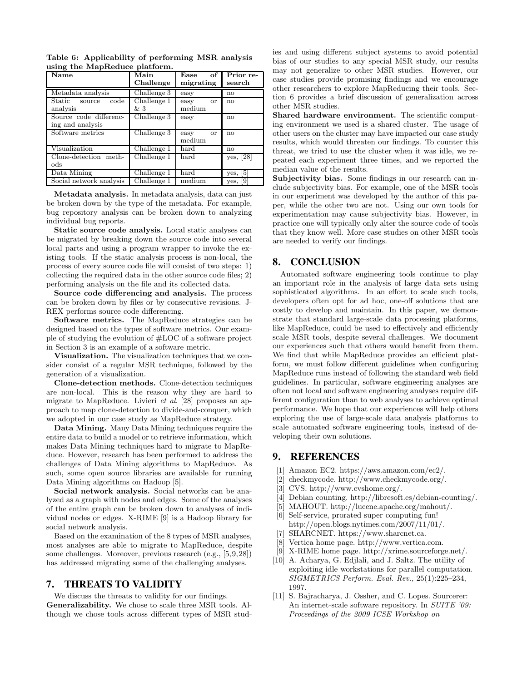| Name                                       | $\overline{\mathrm{Main}}$<br>Challenge | Ease<br>оf<br>migrating                                                                                          | Prior re-<br>search    |
|--------------------------------------------|-----------------------------------------|------------------------------------------------------------------------------------------------------------------|------------------------|
| Metadata analysis                          | Challenge 3                             | easy                                                                                                             | $\mathbf{n}$           |
| Static source<br>code<br>analysis          | Challenge 1<br>& 3                      | easy<br><b>or</b><br>medium                                                                                      | $\mathbf{n}$           |
| Source code differenc-<br>ing and analysis | Challenge 3                             | easy                                                                                                             | $\mathbf{n}$           |
| Software metrics                           | Challenge 3                             | easy<br><b>or</b><br>medium                                                                                      | $\mathbf{n}$           |
| Visualization                              | Challenge 1                             | $\operatorname*{hard}% \left( \mathcal{M}\right) \equiv\operatorname*{grad}\mathcal{M}\left( \mathcal{M}\right)$ | $\mathbf{n}\mathbf{o}$ |
| Clone-detection meth-<br>$^{ols}$          | Challenge 1                             | hard                                                                                                             | yes, $[28]$            |
| Data Mining                                | $\overline{\text{Challenge}} 1$         | hard                                                                                                             | yes, $[5]$             |
| Social network analysis                    | Challenge 1                             | medium                                                                                                           | yes, $[9]$             |

**Table 6: Applicability of performing MSR analysis using the MapReduce platform.**

**Metadata analysis.** In metadata analysis, data can just be broken down by the type of the metadata. For example, bug repository analysis can be broken down to analyzing individual bug reports.

**Static source code analysis.** Local static analyses can be migrated by breaking down the source code into several local parts and using a program wrapper to invoke the existing tools. If the static analysis process is non-local, the process of every source code file will consist of two steps: 1) collecting the required data in the other source code files; 2) performing analysis on the file and its collected data.

**Source code differencing and analysis.** The process can be broken down by files or by consecutive revisions. J-REX performs source code differencing.

**Software metrics.** The MapReduce strategies can be designed based on the types of software metrics. Our example of studying the evolution of #LOC of a software project in Section 3 is an example of a software metric.

**Visualization.** The visualization techniques that we consider consist of a regular MSR technique, followed by the generation of a visualization.

**Clone-detection methods.** Clone-detection techniques are non-local. This is the reason why they are hard to migrate to MapReduce. Livieri *et al.* [28] proposes an approach to map clone-detection to divide-and-conquer, which we adopted in our case study as MapReduce strategy.

**Data Mining.** Many Data Mining techniques require the entire data to build a model or to retrieve information, which makes Data Mining techniques hard to migrate to MapReduce. However, research has been performed to address the challenges of Data Mining algorithms to MapReduce. As such, some open source libraries are available for running Data Mining algorithms on Hadoop [5].

**Social network analysis.** Social networks can be analyzed as a graph with nodes and edges. Some of the analyses of the entire graph can be broken down to analyses of individual nodes or edges. X-RIME [9] is a Hadoop library for social network analysis.

Based on the examination of the 8 types of MSR analyses, most analyses are able to migrate to MapReduce, despite some challenges. Moreover, previous research (e.g., [5,9,28]) has addressed migrating some of the challenging analyses.

### **7. THREATS TO VALIDITY**

We discuss the threats to validity for our findings. **Generalizability.** We chose to scale three MSR tools. Although we chose tools across different types of MSR studies and using different subject systems to avoid potential bias of our studies to any special MSR study, our results may not generalize to other MSR studies. However, our case studies provide promising findings and we encourage other researchers to explore MapReducing their tools. Section 6 provides a brief discussion of generalization across other MSR studies.

**Shared hardware environment.** The scientific computing environment we used is a shared cluster. The usage of other users on the cluster may have impacted our case study results, which would threaten our findings. To counter this threat, we tried to use the cluster when it was idle, we repeated each experiment three times, and we reported the median value of the results.

**Subjectivity bias.** Some findings in our research can include subjectivity bias. For example, one of the MSR tools in our experiment was developed by the author of this paper, while the other two are not. Using our own tools for experimentation may cause subjectivity bias. However, in practice one will typically only alter the source code of tools that they know well. More case studies on other MSR tools are needed to verify our findings.

# **8. CONCLUSION**

Automated software engineering tools continue to play an important role in the analysis of large data sets using sophisticated algorithms. In an effort to scale such tools, developers often opt for ad hoc, one-off solutions that are costly to develop and maintain. In this paper, we demonstrate that standard large-scale data processing platforms, like MapReduce, could be used to effectively and efficiently scale MSR tools, despite several challenges. We document our experiences such that others would benefit from them. We find that while MapReduce provides an efficient platform, we must follow different guidelines when configuring MapReduce runs instead of following the standard web field guidelines. In particular, software engineering analyses are often not local and software engineering analyses require different configuration than to web analyses to achieve optimal performance. We hope that our experiences will help others exploring the use of large-scale data analysis platforms to scale automated software engineering tools, instead of developing their own solutions.

### **9. REFERENCES**

- [1] Amazon EC2. https://aws.amazon.com/ec2/.
- [2] checkmycode. http://www.checkmycode.org/.
- [3] CVS. http://www.cvshome.org/.
- [4] Debian counting. http://libresoft.es/debian-counting/.
- [5] MAHOUT. http://lucene.apache.org/mahout/.
- [6] Self-service, prorated super computing fun! http://open.blogs.nytimes.com/2007/11/01/.
- [7] SHARCNET. https://www.sharcnet.ca.
- [8] Vertica home page. http://www.vertica.com.
- [9] X-RIME home page. http://xrime.sourceforge.net/.
- [10] A. Acharya, G. Edjlali, and J. Saltz. The utility of exploiting idle workstations for parallel computation. *SIGMETRICS Perform. Eval. Rev.*, 25(1):225–234, 1997.
- [11] S. Bajracharya, J. Ossher, and C. Lopes. Sourcerer: An internet-scale software repository. In *SUITE '09: Proceedings of the 2009 ICSE Workshop on*